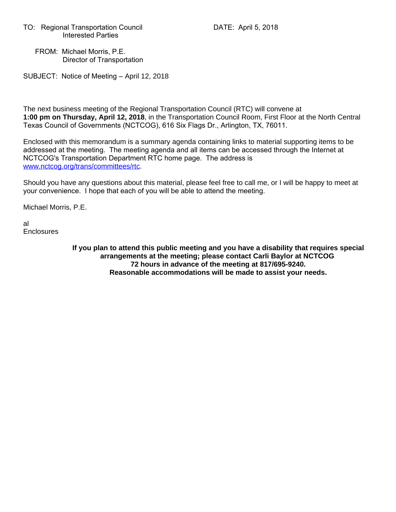TO: Regional Transportation Council DATE: April 5, 2018 Interested Parties

 FROM: Michael Morris, P.E. Director of Transportation

SUBJECT: Notice of Meeting – April 12, 2018

The next business meeting of the Regional Transportation Council (RTC) will convene at **1:00 pm on Thursday, April 12, 2018**, in the Transportation Council Room, First Floor at the North Central Texas Council of Governments (NCTCOG), 616 Six Flags Dr., Arlington, TX, 76011.

Enclosed with this memorandum is a summary agenda containing links to material supporting items to be addressed at the meeting. The meeting agenda and all items can be accessed through the Internet at NCTCOG's Transportation Department RTC home page. The address is www.nctcog.org/trans/committees/rtc.

Should you have any questions about this material, please feel free to call me, or I will be happy to meet at your convenience. I hope that each of you will be able to attend the meeting.

Michael Morris, P.E.

al **Enclosures** 

> **If you plan to attend this public meeting and you have a disability that requires special arrangements at the meeting; please contact Carli Baylor at NCTCOG 72 hours in advance of the meeting at 817/695-9240. Reasonable accommodations will be made to assist your needs.**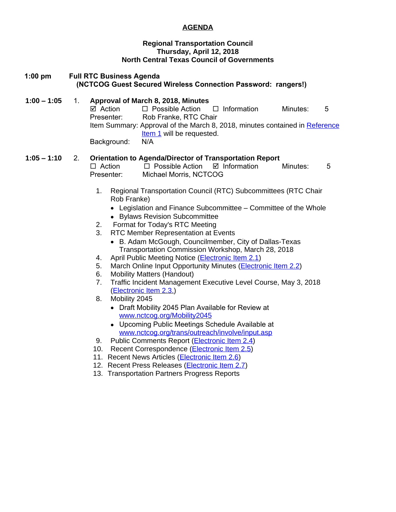### **AGENDA**

#### **Regional Transportation Council Thursday, April 12, 2018 North Central Texas Council of Governments**

## **1:00 pm Full RTC Business Agenda (NCTCOG Guest Secured Wireless Connection Password: rangers!)**

#### **1:00 – 1:05** 1. **Approval of March 8, 2018, Minutes**  $\boxtimes$  Action  $\Box$  Possible Action  $\Box$  Information Minutes: 5 Presenter: Rob Franke, RTC Chair Item Summary: Approval of the March 8, 2018, minutes contained in [Reference](http://www.nctcog.org/trans/committees/rtc/2018/04Apr/Ref.Itm_1.rtc041218.pdf) Item 1 will be requested. Background: N/A

### **1:05 – 1:10** 2. **Orientation to Agenda/Director of Transportation Report**

 $\Box$  Action  $\Box$  Possible Action  $\Box$  Information Minutes: 5 Presenter: Michael Morris, NCTCOG

- 1. Regional Transportation Council (RTC) Subcommittees (RTC Chair Rob Franke)
	- Legislation and Finance Subcommittee Committee of the Whole
	- Bylaws Revision Subcommittee
- 2. Format for Today's RTC Meeting
- 3. RTC Member Representation at Events
	- B. Adam McGough, Councilmember, City of Dallas-Texas Transportation Commission Workshop, March 28, 2018
- 4. April Public Meeting Notice [\(Electronic Item 2.1](http://www.nctcog.org/trans/committees/rtc/2018/04Apr/Ref.Itm_2.1.rtc041218.pdf))
- 5. March Online Input Opportunity Minutes (*Electronic Item 2.2*)
- 6. Mobility Matters (Handout)
- 7. Traffic Incident Management Executive Level Course, May 3, 2018 ([Electronic Item 2.3.\)](http://www.nctcog.org/trans/committees/rtc/2018/04Apr/Ref.Itm_2.3.rtc041218.pdf)
- 8. Mobility 2045
	- Draft Mobility 2045 Plan Available for Review at [www.nctcog.org/Mobility2045](http://www.nctcog.org/Mobility2045)
	- Upcoming Public Meetings Schedule Available at [www.nctcog.org/trans/outreach/involve/input.asp](http://www.nctcog.org/trans/outreach/involve/input.asp)
- 9. Public Comments Report (*[Electronic Item 2.4](http://www.nctcog.org/trans/committees/rtc/2018/04Apr/Ref.Itm_2.4.rtc041218.pdf)*)
- 10. Recent Correspondence ([Electronic Item 2.5](http://www.nctcog.org/trans/committees/rtc/2018/04Apr/Ref.Itm_2.5.rtc041218.pdf))
- 11. Recent News Articles ([Electronic Item 2.6\)](http://www.nctcog.org/trans/committees/rtc/2018/04Apr/Ref.Itm_2.6.rtc041218.pdf)
- 12. Recent Press Releases [\(Electronic Item 2.7](http://www.nctcog.org/trans/committees/rtc/2018/04Apr/Ref.Itm_2.7.rtc041218.pdf))
- 13. Transportation Partners Progress Reports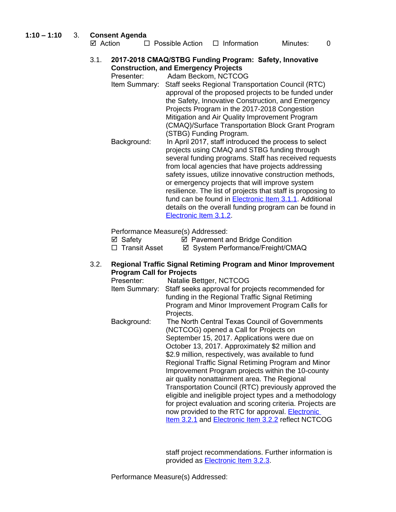#### **1:10 – 1:10** 3. **Consent Agenda**

| OUIISCHI AYCHUA |                        |                    |          |  |  |  |  |
|-----------------|------------------------|--------------------|----------|--|--|--|--|
| ⊠ Action        | $\Box$ Possible Action | $\Box$ Information | Minutes: |  |  |  |  |

3.1. **2017-2018 CMAQ/STBG Funding Program: Safety, Innovative Construction, and Emergency Projects**

Presenter: Adam Beckom, NCTCOG

- Item Summary: Staff seeks Regional Transportation Council (RTC) approval of the proposed projects to be funded under the Safety, Innovative Construction, and Emergency Projects Program in the 2017-2018 Congestion Mitigation and Air Quality Improvement Program (CMAQ)/Surface Transportation Block Grant Program (STBG) Funding Program.
- Background: In April 2017, staff introduced the process to select projects using CMAQ and STBG funding through several funding programs. Staff has received requests from local agencies that have projects addressing safety issues, utilize innovative construction methods, or emergency projects that will improve system resilience. The list of projects that staff is proposing to fund can be found in **Electronic Item 3.1.1**. Additional details on the overall funding program can be found in [Electronic Item 3.1.2.](http://www.nctcog.org/trans/committees/rtc/2018/04Apr/Ref.Itm_3.1.2.rtc041218.pdf)

Performance Measure(s) Addressed:

| ⊠ Safety |  | ☑ Pavement and Bridge Condition |
|----------|--|---------------------------------|
|          |  |                                 |

□ Transit Asset  $\boxdot$  System Performance/Freight/CMAQ

#### 3.2. **Regional Traffic Signal Retiming Program and Minor Improvement Program Call for Projects**

| Presenter:    | Natalie Bettger, NCTCOG                                   |
|---------------|-----------------------------------------------------------|
| Item Summary: | Staff seeks approval for projects recommended for         |
|               | funding in the Regional Traffic Signal Retiming           |
|               | Program and Minor Improvement Program Calls for           |
|               | Projects.                                                 |
| Background:   | The North Central Texas Council of Governments            |
|               | (NCTCOG) opened a Call for Projects on                    |
|               | September 15, 2017. Applications were due on              |
|               | October 13, 2017. Approximately \$2 million and           |
|               | \$2.9 million, respectively, was available to fund        |
|               | Regional Traffic Signal Retiming Program and Minor        |
|               | Improvement Program projects within the 10-county         |
|               | air quality nonattainment area. The Regional              |
|               | Transportation Council (RTC) previously approved the      |
|               | eligible and ineligible project types and a methodology   |
|               | for project evaluation and scoring criteria. Projects are |
|               | now provided to the RTC for approval. <b>Electronic</b>   |
|               | Item 3.2.1 and Electronic Item 3.2.2 reflect NCTCOG       |

staff project recommendations. Further information is provided as [Electronic Item 3.2.3.](http://www.nctcog.org/trans/committees/rtc/2018/04Apr/Ref.Itm_3.2.3.rtc041218.pdf)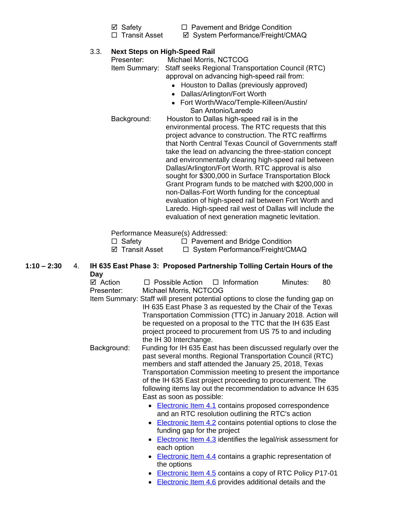- 
- $\boxtimes$  Safety  $\Box$  Pavement and Bridge Condition
- 
- □ Transit Asset  $\Box$  System Performance/Freight/CMAQ

# 3.3. **Next Steps on High-Speed Rail**

Presenter: Michael Morris, NCTCOG Item Summary: Staff seeks Regional Transportation Council (RTC) approval on advancing high-speed rail from:

- Houston to Dallas (previously approved)
- Dallas/Arlington/Fort Worth
- Fort Worth/Waco/Temple-Killeen/Austin/ San Antonio/Laredo

Background: Houston to Dallas high-speed rail is in the environmental process. The RTC requests that this project advance to construction. The RTC reaffirms that North Central Texas Council of Governments staff take the lead on advancing the three-station concept and environmentally clearing high-speed rail between Dallas/Arlington/Fort Worth. RTC approval is also sought for \$300,000 in Surface Transportation Block Grant Program funds to be matched with \$200,000 in non-Dallas-Fort Worth funding for the conceptual evaluation of high-speed rail between Fort Worth and Laredo. High-speed rail west of Dallas will include the evaluation of next generation magnetic levitation.

Performance Measure(s) Addressed:

 $\Box$  Safety  $\Box$  Pavement and Bridge Condition  $\boxtimes$  Transit Asset  $\Box$  System Performance/Freight/CMAQ

#### **1:10 – 2:30** 4. **IH 635 East Phase 3: Proposed Partnership Tolling Certain Hours of the Day**

 $\boxtimes$  Action  $\Box$  Possible Action  $\Box$  Information Minutes: 80 Presenter: Michael Morris, NCTCOG Item Summary: Staff will present potential options to close the funding gap on IH 635 East Phase 3 as requested by the Chair of the Texas Transportation Commission (TTC) in January 2018. Action will be requested on a proposal to the TTC that the IH 635 East project proceed to procurement from US 75 to and including the IH 30 Interchange. Background: Funding for IH 635 East has been discussed regularly over the past several months. Regional Transportation Council (RTC) members and staff attended the January 25, 2018, Texas Transportation Commission meeting to present the importance of the IH 635 East project proceeding to procurement. The following items lay out the recommendation to advance IH 635 East as soon as possible: • [Electronic Item 4.1](http://www.nctcog.org/trans/committees/rtc/2018/04Apr/Ref.Itm_4.1.rtc041218.pdf) contains proposed correspondence and an RTC resolution outlining the RTC's action • [Electronic Item 4.2](http://www.nctcog.org/trans/committees/rtc/2018/04Apr/Ref.Itm_4.2.rtc041218.pdf) contains potential options to close the funding gap for the project • [Electronic Item 4.3](http://www.nctcog.org/trans/committees/rtc/2018/04Apr/Ref.Itm_4.3.rtc041218.pdf) identifies the legal/risk assessment for each option • [Electronic Item 4.4](http://www.nctcog.org/trans/committees/rtc/2018/04Apr/Ref.Itm_4.4.rtc041218.pdf) contains a graphic representation of the options • [Electronic Item 4.5](http://www.nctcog.org/trans/committees/rtc/2018/04Apr/Ref.Itm_4.5.rtc041218.pdf) contains a copy of RTC Policy P17-01

• [Electronic Item 4.6](http://www.nctcog.org/trans/committees/rtc/2018/04Apr/Ref.Itm_4.6.rtc041218.pdf) provides additional details and the